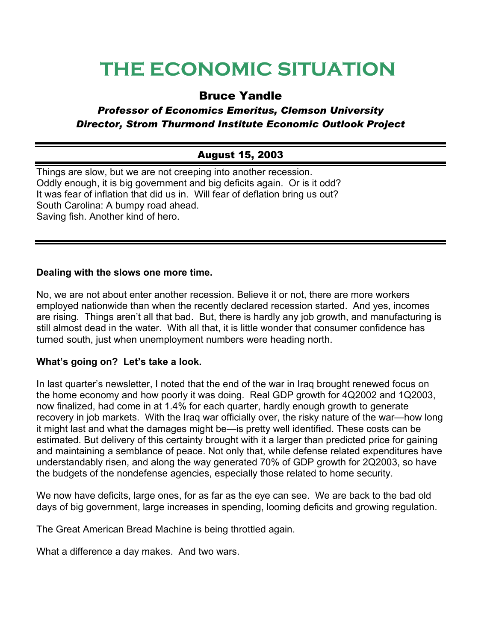# **THE ECONOMIC SITUATION**

## Bruce Yandle

### *Professor of Economics Emeritus, Clemson University Director, Strom Thurmond Institute Economic Outlook Project*

## August 15, 2003

Things are slow, but we are not creeping into another recession. Oddly enough, it is big government and big deficits again. Or is it odd? It was fear of inflation that did us in. Will fear of deflation bring us out? South Carolina: A bumpy road ahead. Saving fish. Another kind of hero.

#### **Dealing with the slows one more time.**

No, we are not about enter another recession. Believe it or not, there are more workers employed nationwide than when the recently declared recession started. And yes, incomes are rising. Things aren't all that bad. But, there is hardly any job growth, and manufacturing is still almost dead in the water. With all that, it is little wonder that consumer confidence has turned south, just when unemployment numbers were heading north.

#### **What's going on? Let's take a look.**

In last quarter's newsletter, I noted that the end of the war in Iraq brought renewed focus on the home economy and how poorly it was doing. Real GDP growth for 4Q2002 and 1Q2003, now finalized, had come in at 1.4% for each quarter, hardly enough growth to generate recovery in job markets. With the Iraq war officially over, the risky nature of the war—how long it might last and what the damages might be—is pretty well identified. These costs can be estimated. But delivery of this certainty brought with it a larger than predicted price for gaining and maintaining a semblance of peace. Not only that, while defense related expenditures have understandably risen, and along the way generated 70% of GDP growth for 2Q2003, so have the budgets of the nondefense agencies, especially those related to home security.

We now have deficits, large ones, for as far as the eye can see. We are back to the bad old days of big government, large increases in spending, looming deficits and growing regulation.

The Great American Bread Machine is being throttled again.

What a difference a day makes. And two wars.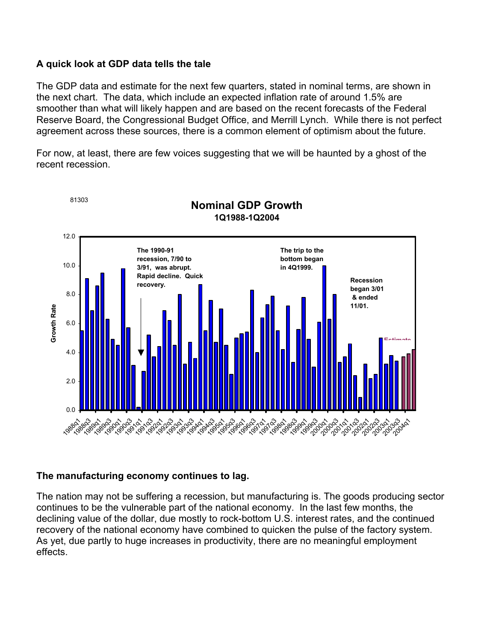#### **A quick look at GDP data tells the tale**

The GDP data and estimate for the next few quarters, stated in nominal terms, are shown in the next chart. The data, which include an expected inflation rate of around 1.5% are smoother than what will likely happen and are based on the recent forecasts of the Federal Reserve Board, the Congressional Budget Office, and Merrill Lynch. While there is not perfect agreement across these sources, there is a common element of optimism about the future.

For now, at least, there are few voices suggesting that we will be haunted by a ghost of the recent recession.



#### **The manufacturing economy continues to lag.**

The nation may not be suffering a recession, but manufacturing is. The goods producing sector continues to be the vulnerable part of the national economy. In the last few months, the declining value of the dollar, due mostly to rock-bottom U.S. interest rates, and the continued recovery of the national economy have combined to quicken the pulse of the factory system. As yet, due partly to huge increases in productivity, there are no meaningful employment effects.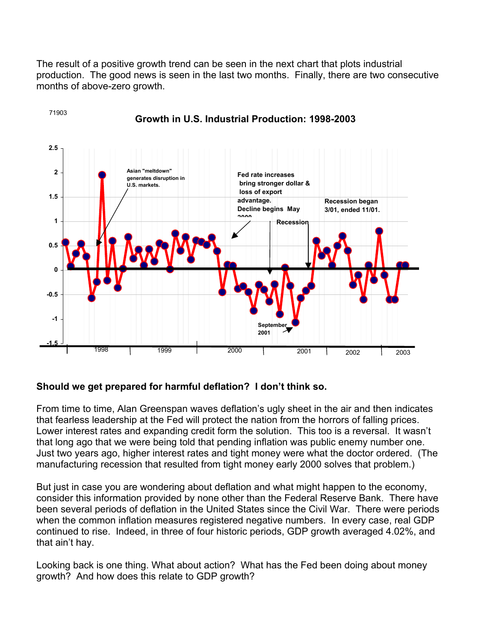The result of a positive growth trend can be seen in the next chart that plots industrial production. The good news is seen in the last two months. Finally, there are two consecutive months of above-zero growth.



#### **Growth in U.S. Industrial Production: 1998-2003**

#### **Should we get prepared for harmful deflation? I don't think so.**

71903

From time to time, Alan Greenspan waves deflation's ugly sheet in the air and then indicates that fearless leadership at the Fed will protect the nation from the horrors of falling prices. Lower interest rates and expanding credit form the solution. This too is a reversal. It wasn't that long ago that we were being told that pending inflation was public enemy number one. Just two years ago, higher interest rates and tight money were what the doctor ordered. (The manufacturing recession that resulted from tight money early 2000 solves that problem.)

But just in case you are wondering about deflation and what might happen to the economy, consider this information provided by none other than the Federal Reserve Bank. There have been several periods of deflation in the United States since the Civil War. There were periods when the common inflation measures registered negative numbers. In every case, real GDP continued to rise. Indeed, in three of four historic periods, GDP growth averaged 4.02%, and that ain't hay.

Looking back is one thing. What about action? What has the Fed been doing about money growth? And how does this relate to GDP growth?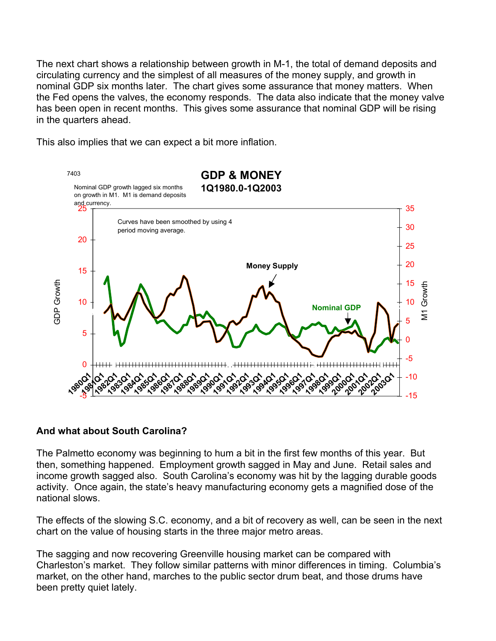The next chart shows a relationship between growth in M-1, the total of demand deposits and circulating currency and the simplest of all measures of the money supply, and growth in nominal GDP six months later. The chart gives some assurance that money matters. When the Fed opens the valves, the economy responds. The data also indicate that the money valve has been open in recent months. This gives some assurance that nominal GDP will be rising in the quarters ahead.

This also implies that we can expect a bit more inflation.



#### **And what about South Carolina?**

The Palmetto economy was beginning to hum a bit in the first few months of this year. But then, something happened. Employment growth sagged in May and June. Retail sales and income growth sagged also. South Carolina's economy was hit by the lagging durable goods activity. Once again, the state's heavy manufacturing economy gets a magnified dose of the national slows.

The effects of the slowing S.C. economy, and a bit of recovery as well, can be seen in the next chart on the value of housing starts in the three major metro areas.

The sagging and now recovering Greenville housing market can be compared with Charleston's market. They follow similar patterns with minor differences in timing. Columbia's market, on the other hand, marches to the public sector drum beat, and those drums have been pretty quiet lately.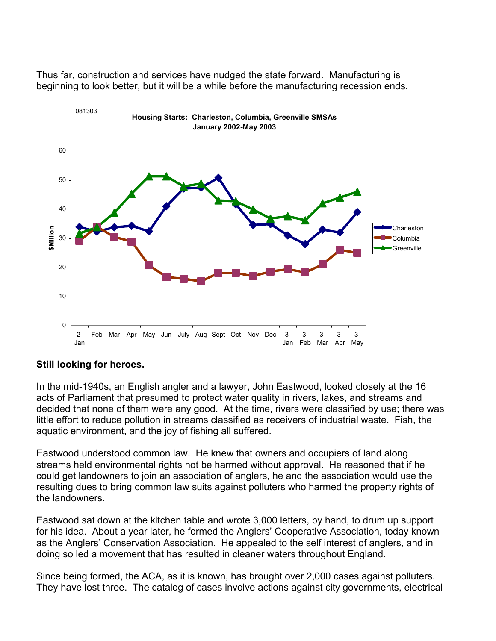Thus far, construction and services have nudged the state forward. Manufacturing is beginning to look better, but it will be a while before the manufacturing recession ends.



**Housing Starts: Charleston, Columbia, Greenville SMSAs**

#### **Still looking for heroes.**

081303

In the mid-1940s, an English angler and a lawyer, John Eastwood, looked closely at the 16 acts of Parliament that presumed to protect water quality in rivers, lakes, and streams and decided that none of them were any good. At the time, rivers were classified by use; there was little effort to reduce pollution in streams classified as receivers of industrial waste. Fish, the aquatic environment, and the joy of fishing all suffered.

Eastwood understood common law. He knew that owners and occupiers of land along streams held environmental rights not be harmed without approval. He reasoned that if he could get landowners to join an association of anglers, he and the association would use the resulting dues to bring common law suits against polluters who harmed the property rights of the landowners.

Eastwood sat down at the kitchen table and wrote 3,000 letters, by hand, to drum up support for his idea. About a year later, he formed the Anglers' Cooperative Association, today known as the Anglers' Conservation Association. He appealed to the self interest of anglers, and in doing so led a movement that has resulted in cleaner waters throughout England.

Since being formed, the ACA, as it is known, has brought over 2,000 cases against polluters. They have lost three. The catalog of cases involve actions against city governments, electrical